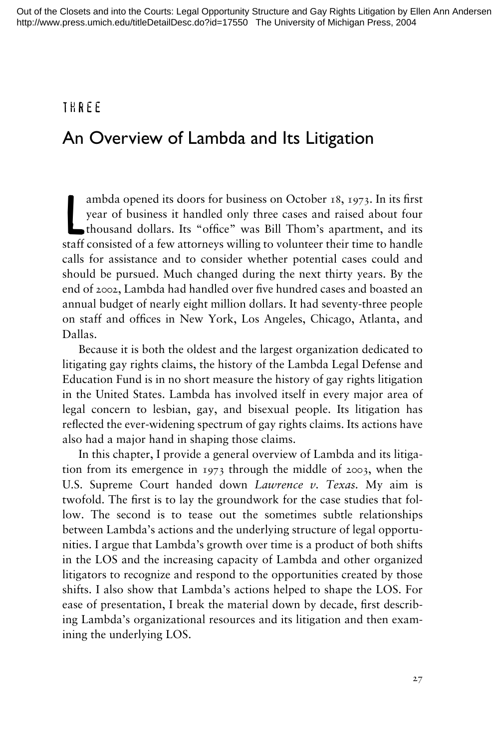## three

# An Overview of Lambda and Its Litigation

L ambda opened its doors for business on October  $18$ ,  $1973$ . In its first year of business it handled only three cases and raised about four thousand dollars. Its "office" was Bill Thom's apartment, and its staff consisted of a few attorneys willing to volunteer their time to handle calls for assistance and to consider whether potential cases could and should be pursued. Much changed during the next thirty years. By the end of 2002, Lambda had handled over five hundred cases and boasted an annual budget of nearly eight million dollars. It had seventy-three people on staff and offices in New York, Los Angeles, Chicago, Atlanta, and Dallas.

Because it is both the oldest and the largest organization dedicated to litigating gay rights claims, the history of the Lambda Legal Defense and Education Fund is in no short measure the history of gay rights litigation in the United States. Lambda has involved itself in every major area of legal concern to lesbian, gay, and bisexual people. Its litigation has reflected the ever-widening spectrum of gay rights claims. Its actions have also had a major hand in shaping those claims.

In this chapter, I provide a general overview of Lambda and its litigation from its emergence in 1973 through the middle of 2003, when the U.S. Supreme Court handed down *Lawrence v. Texas.* My aim is twofold. The first is to lay the groundwork for the case studies that follow. The second is to tease out the sometimes subtle relationships between Lambda's actions and the underlying structure of legal opportunities. I argue that Lambda's growth over time is a product of both shifts in the LOS and the increasing capacity of Lambda and other organized litigators to recognize and respond to the opportunities created by those shifts. I also show that Lambda's actions helped to shape the LOS. For ease of presentation, I break the material down by decade, first describing Lambda's organizational resources and its litigation and then examining the underlying LOS.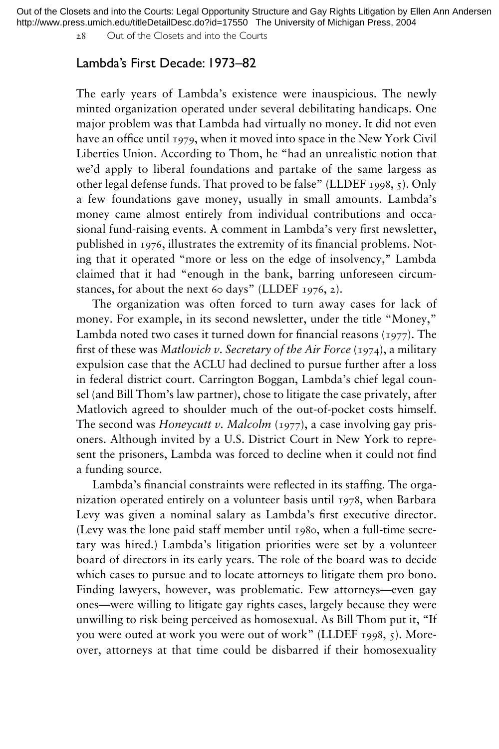28 Out of the Closets and into the Courts

### Lambda's First Decade: 1973–82

The early years of Lambda's existence were inauspicious. The newly minted organization operated under several debilitating handicaps. One major problem was that Lambda had virtually no money. It did not even have an office until 1979, when it moved into space in the New York Civil Liberties Union. According to Thom, he "had an unrealistic notion that we'd apply to liberal foundations and partake of the same largess as other legal defense funds. That proved to be false" (LLDEF 1998, 5). Only a few foundations gave money, usually in small amounts. Lambda's money came almost entirely from individual contributions and occasional fund-raising events. A comment in Lambda's very first newsletter, published in 1976, illustrates the extremity of its financial problems. Noting that it operated "more or less on the edge of insolvency," Lambda claimed that it had "enough in the bank, barring unforeseen circumstances, for about the next 60 days" (LLDEF 1976, 2).

The organization was often forced to turn away cases for lack of money. For example, in its second newsletter, under the title "Money," Lambda noted two cases it turned down for financial reasons  $(1977)$ . The first of these was *Matlovich v. Secretary of the Air Force* (1974), a military expulsion case that the ACLU had declined to pursue further after a loss in federal district court. Carrington Boggan, Lambda's chief legal counsel (and Bill Thom's law partner), chose to litigate the case privately, after Matlovich agreed to shoulder much of the out-of-pocket costs himself. The second was *Honeycutt v. Malcolm* (1977), a case involving gay prisoners. Although invited by a U.S. District Court in New York to represent the prisoners, Lambda was forced to decline when it could not find a funding source.

Lambda's financial constraints were reflected in its staffing. The organization operated entirely on a volunteer basis until 1978, when Barbara Levy was given a nominal salary as Lambda's first executive director. (Levy was the lone paid staff member until 1980, when a full-time secretary was hired.) Lambda's litigation priorities were set by a volunteer board of directors in its early years. The role of the board was to decide which cases to pursue and to locate attorneys to litigate them pro bono. Finding lawyers, however, was problematic. Few attorneys—even gay ones—were willing to litigate gay rights cases, largely because they were unwilling to risk being perceived as homosexual. As Bill Thom put it, "If you were outed at work you were out of work" (LLDEF 1998, 5). Moreover, attorneys at that time could be disbarred if their homosexuality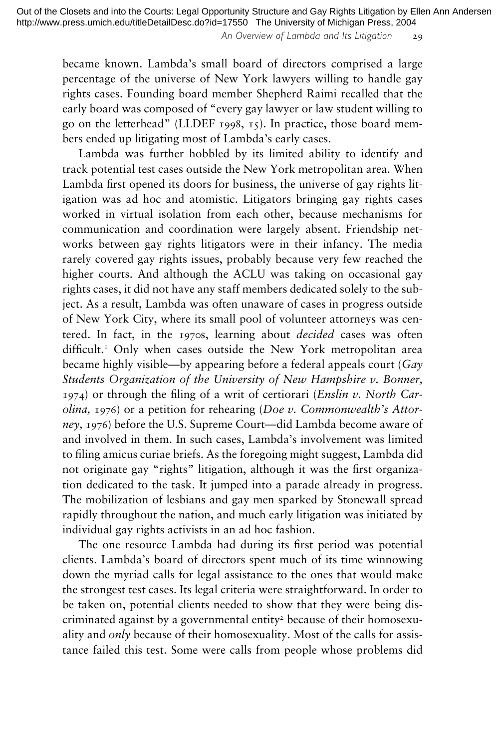*An Overview of Lambda and Its Litigation* 29

became known. Lambda's small board of directors comprised a large percentage of the universe of New York lawyers willing to handle gay rights cases. Founding board member Shepherd Raimi recalled that the early board was composed of "every gay lawyer or law student willing to go on the letterhead" (LLDEF 1998, 15). In practice, those board members ended up litigating most of Lambda's early cases.

Lambda was further hobbled by its limited ability to identify and track potential test cases outside the New York metropolitan area. When Lambda first opened its doors for business, the universe of gay rights litigation was ad hoc and atomistic. Litigators bringing gay rights cases worked in virtual isolation from each other, because mechanisms for communication and coordination were largely absent. Friendship networks between gay rights litigators were in their infancy. The media rarely covered gay rights issues, probably because very few reached the higher courts. And although the ACLU was taking on occasional gay rights cases, it did not have any staff members dedicated solely to the subject. As a result, Lambda was often unaware of cases in progress outside of New York City, where its small pool of volunteer attorneys was centered. In fact, in the 1970s, learning about *decided* cases was often  $difficult.$ <sup>1</sup> Only when cases outside the New York metropolitan area became highly visible—by appearing before a federal appeals court (*Gay Students Organization of the University of New Hampshire v. Bonner,* 1974) or through the filing of a writ of certiorari (*Enslin v. North Carolina,* 1976) or a petition for rehearing (*Doe v. Commonwealth's Attorney,* 1976) before the U.S. Supreme Court—did Lambda become aware of and involved in them. In such cases, Lambda's involvement was limited to filing amicus curiae briefs. As the foregoing might suggest, Lambda did not originate gay "rights" litigation, although it was the first organization dedicated to the task. It jumped into a parade already in progress. The mobilization of lesbians and gay men sparked by Stonewall spread rapidly throughout the nation, and much early litigation was initiated by individual gay rights activists in an ad hoc fashion.

The one resource Lambda had during its first period was potential clients. Lambda's board of directors spent much of its time winnowing down the myriad calls for legal assistance to the ones that would make the strongest test cases. Its legal criteria were straightforward. In order to be taken on, potential clients needed to show that they were being discriminated against by a governmental entity<sup>2</sup> because of their homosexuality and *only* because of their homosexuality. Most of the calls for assistance failed this test. Some were calls from people whose problems did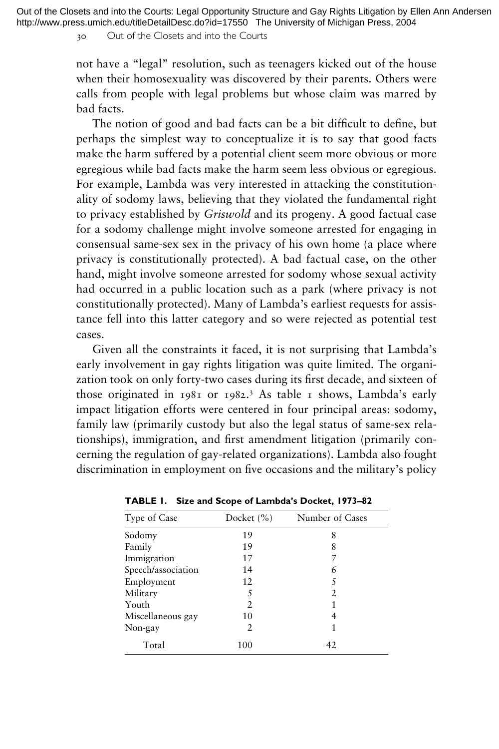30 Out of the Closets and into the Courts

not have a "legal" resolution, such as teenagers kicked out of the house when their homosexuality was discovered by their parents. Others were calls from people with legal problems but whose claim was marred by bad facts.

The notion of good and bad facts can be a bit difficult to define, but perhaps the simplest way to conceptualize it is to say that good facts make the harm suffered by a potential client seem more obvious or more egregious while bad facts make the harm seem less obvious or egregious. For example, Lambda was very interested in attacking the constitutionality of sodomy laws, believing that they violated the fundamental right to privacy established by *Griswold* and its progeny. A good factual case for a sodomy challenge might involve someone arrested for engaging in consensual same-sex sex in the privacy of his own home (a place where privacy is constitutionally protected). A bad factual case, on the other hand, might involve someone arrested for sodomy whose sexual activity had occurred in a public location such as a park (where privacy is not constitutionally protected). Many of Lambda's earliest requests for assistance fell into this latter category and so were rejected as potential test cases.

Given all the constraints it faced, it is not surprising that Lambda's early involvement in gay rights litigation was quite limited. The organization took on only forty-two cases during its first decade, and sixteen of those originated in 1981 or 1982.<sup>3</sup> As table 1 shows, Lambda's early impact litigation efforts were centered in four principal areas: sodomy, family law (primarily custody but also the legal status of same-sex relationships), immigration, and first amendment litigation (primarily concerning the regulation of gay-related organizations). Lambda also fought discrimination in employment on five occasions and the military's policy

| Type of Case       | Docket $(\% )$ | Number of Cases |
|--------------------|----------------|-----------------|
| Sodomy             | 19             | 8               |
| Family             | 19             | 8               |
| Immigration        | 17             |                 |
| Speech/association | 14             | 6               |
| Employment         | 12             |                 |
| Military           | 5              | $\mathcal{L}$   |
| Youth              | $\mathfrak{D}$ |                 |
| Miscellaneous gay  | 10             | 4               |
| Non-gay            | 2              |                 |
| Total              | 100            | 42              |

**TABLE 1. Size and Scope of Lambda's Docket, 1973–82**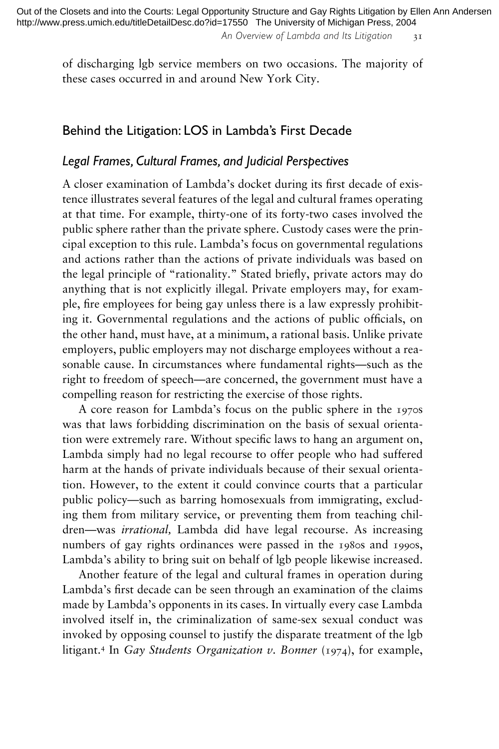An Overview of Lambda and Its Litigation 31

of discharging lgb service members on two occasions. The majority of these cases occurred in and around New York City.

# Behind the Litigation: LOS in Lambda's First Decade

# *Legal Frames, Cultural Frames, and Judicial Perspectives*

A closer examination of Lambda's docket during its first decade of existence illustrates several features of the legal and cultural frames operating at that time. For example, thirty-one of its forty-two cases involved the public sphere rather than the private sphere. Custody cases were the principal exception to this rule. Lambda's focus on governmental regulations and actions rather than the actions of private individuals was based on the legal principle of "rationality." Stated briefly, private actors may do anything that is not explicitly illegal. Private employers may, for example, fire employees for being gay unless there is a law expressly prohibiting it. Governmental regulations and the actions of public officials, on the other hand, must have, at a minimum, a rational basis. Unlike private employers, public employers may not discharge employees without a reasonable cause. In circumstances where fundamental rights—such as the right to freedom of speech—are concerned, the government must have a compelling reason for restricting the exercise of those rights.

A core reason for Lambda's focus on the public sphere in the 1970s was that laws forbidding discrimination on the basis of sexual orientation were extremely rare. Without specific laws to hang an argument on, Lambda simply had no legal recourse to offer people who had suffered harm at the hands of private individuals because of their sexual orientation. However, to the extent it could convince courts that a particular public policy—such as barring homosexuals from immigrating, excluding them from military service, or preventing them from teaching children—was *irrational,* Lambda did have legal recourse. As increasing numbers of gay rights ordinances were passed in the 1980s and 1990s, Lambda's ability to bring suit on behalf of lgb people likewise increased.

Another feature of the legal and cultural frames in operation during Lambda's first decade can be seen through an examination of the claims made by Lambda's opponents in its cases. In virtually every case Lambda involved itself in, the criminalization of same-sex sexual conduct was invoked by opposing counsel to justify the disparate treatment of the lgb litigant.4 In *Gay Students Organization v. Bonner* (1974), for example,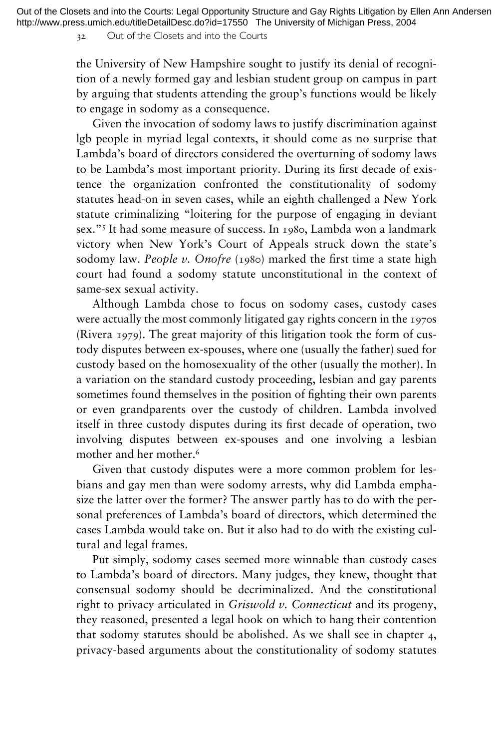32 Out of the Closets and into the Courts

the University of New Hampshire sought to justify its denial of recognition of a newly formed gay and lesbian student group on campus in part by arguing that students attending the group's functions would be likely to engage in sodomy as a consequence.

Given the invocation of sodomy laws to justify discrimination against lgb people in myriad legal contexts, it should come as no surprise that Lambda's board of directors considered the overturning of sodomy laws to be Lambda's most important priority. During its first decade of existence the organization confronted the constitutionality of sodomy statutes head-on in seven cases, while an eighth challenged a New York statute criminalizing "loitering for the purpose of engaging in deviant sex."5 It had some measure of success. In 1980, Lambda won a landmark victory when New York's Court of Appeals struck down the state's sodomy law. *People v. Onofre* (1980) marked the first time a state high court had found a sodomy statute unconstitutional in the context of same-sex sexual activity.

Although Lambda chose to focus on sodomy cases, custody cases were actually the most commonly litigated gay rights concern in the 1970s (Rivera 1979). The great majority of this litigation took the form of custody disputes between ex-spouses, where one (usually the father) sued for custody based on the homosexuality of the other (usually the mother). In a variation on the standard custody proceeding, lesbian and gay parents sometimes found themselves in the position of fighting their own parents or even grandparents over the custody of children. Lambda involved itself in three custody disputes during its first decade of operation, two involving disputes between ex-spouses and one involving a lesbian mother and her mother.6

Given that custody disputes were a more common problem for lesbians and gay men than were sodomy arrests, why did Lambda emphasize the latter over the former? The answer partly has to do with the personal preferences of Lambda's board of directors, which determined the cases Lambda would take on. But it also had to do with the existing cultural and legal frames.

Put simply, sodomy cases seemed more winnable than custody cases to Lambda's board of directors. Many judges, they knew, thought that consensual sodomy should be decriminalized. And the constitutional right to privacy articulated in *Griswold v. Connecticut* and its progeny, they reasoned, presented a legal hook on which to hang their contention that sodomy statutes should be abolished. As we shall see in chapter 4, privacy-based arguments about the constitutionality of sodomy statutes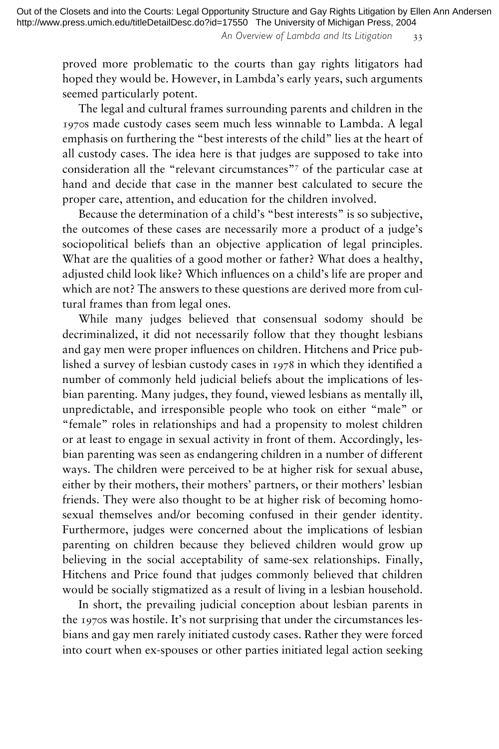*An Overview of Lambda and Its Litigation* 33

proved more problematic to the courts than gay rights litigators had hoped they would be. However, in Lambda's early years, such arguments seemed particularly potent.

The legal and cultural frames surrounding parents and children in the 1970s made custody cases seem much less winnable to Lambda. A legal emphasis on furthering the "best interests of the child" lies at the heart of all custody cases. The idea here is that judges are supposed to take into consideration all the "relevant circumstances"7 of the particular case at hand and decide that case in the manner best calculated to secure the proper care, attention, and education for the children involved.

Because the determination of a child's "best interests" is so subjective, the outcomes of these cases are necessarily more a product of a judge's sociopolitical beliefs than an objective application of legal principles. What are the qualities of a good mother or father? What does a healthy, adjusted child look like? Which influences on a child's life are proper and which are not? The answers to these questions are derived more from cultural frames than from legal ones.

While many judges believed that consensual sodomy should be decriminalized, it did not necessarily follow that they thought lesbians and gay men were proper influences on children. Hitchens and Price published a survey of lesbian custody cases in  $1978$  in which they identified a number of commonly held judicial beliefs about the implications of lesbian parenting. Many judges, they found, viewed lesbians as mentally ill, unpredictable, and irresponsible people who took on either "male" or "female" roles in relationships and had a propensity to molest children or at least to engage in sexual activity in front of them. Accordingly, lesbian parenting was seen as endangering children in a number of different ways. The children were perceived to be at higher risk for sexual abuse, either by their mothers, their mothers' partners, or their mothers' lesbian friends. They were also thought to be at higher risk of becoming homosexual themselves and/or becoming confused in their gender identity. Furthermore, judges were concerned about the implications of lesbian parenting on children because they believed children would grow up believing in the social acceptability of same-sex relationships. Finally, Hitchens and Price found that judges commonly believed that children would be socially stigmatized as a result of living in a lesbian household.

In short, the prevailing judicial conception about lesbian parents in the 1970s was hostile. It's not surprising that under the circumstances lesbians and gay men rarely initiated custody cases. Rather they were forced into court when ex-spouses or other parties initiated legal action seeking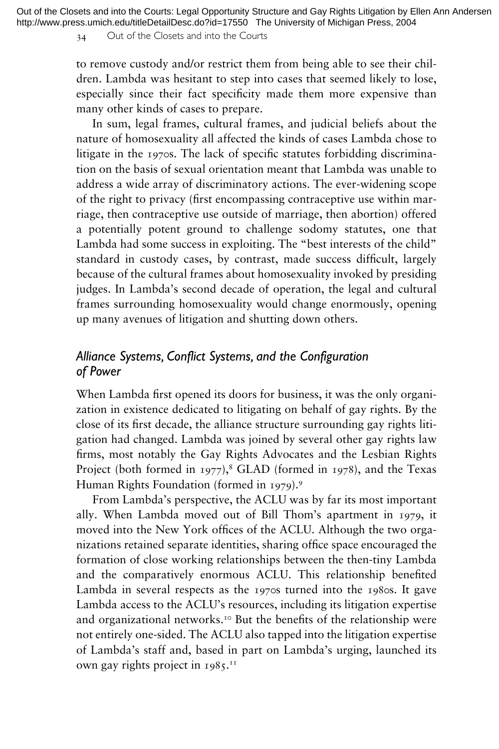34 Out of the Closets and into the Courts

to remove custody and/or restrict them from being able to see their children. Lambda was hesitant to step into cases that seemed likely to lose, especially since their fact specificity made them more expensive than many other kinds of cases to prepare.

In sum, legal frames, cultural frames, and judicial beliefs about the nature of homosexuality all affected the kinds of cases Lambda chose to litigate in the  $1970s$ . The lack of specific statutes forbidding discrimination on the basis of sexual orientation meant that Lambda was unable to address a wide array of discriminatory actions. The ever-widening scope of the right to privacy (first encompassing contraceptive use within marriage, then contraceptive use outside of marriage, then abortion) offered a potentially potent ground to challenge sodomy statutes, one that Lambda had some success in exploiting. The "best interests of the child" standard in custody cases, by contrast, made success difficult, largely because of the cultural frames about homosexuality invoked by presiding judges. In Lambda's second decade of operation, the legal and cultural frames surrounding homosexuality would change enormously, opening up many avenues of litigation and shutting down others.

# *Alliance Systems, Conflict Systems, and the Configuration of Power*

When Lambda first opened its doors for business, it was the only organization in existence dedicated to litigating on behalf of gay rights. By the close of its first decade, the alliance structure surrounding gay rights litigation had changed. Lambda was joined by several other gay rights law firms, most notably the Gay Rights Advocates and the Lesbian Rights Project (both formed in  $1977$ ),<sup>8</sup> GLAD (formed in 1978), and the Texas Human Rights Foundation (formed in 1979).<sup>9</sup>

From Lambda's perspective, the ACLU was by far its most important ally. When Lambda moved out of Bill Thom's apartment in 1979, it moved into the New York offices of the ACLU. Although the two organizations retained separate identities, sharing office space encouraged the formation of close working relationships between the then-tiny Lambda and the comparatively enormous ACLU. This relationship benefited Lambda in several respects as the 1970s turned into the 1980s. It gave Lambda access to the ACLU's resources, including its litigation expertise and organizational networks.<sup>10</sup> But the benefits of the relationship were not entirely one-sided. The ACLU also tapped into the litigation expertise of Lambda's staff and, based in part on Lambda's urging, launched its own gay rights project in 1985.<sup>11</sup>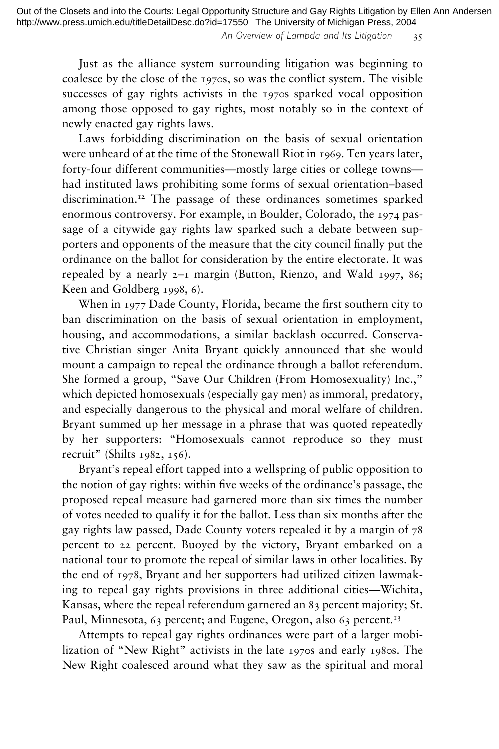*An Overview of Lambda and Its Litigation* 35

Just as the alliance system surrounding litigation was beginning to coalesce by the close of the 1970s, so was the conflict system. The visible successes of gay rights activists in the 1970s sparked vocal opposition among those opposed to gay rights, most notably so in the context of newly enacted gay rights laws.

Laws forbidding discrimination on the basis of sexual orientation were unheard of at the time of the Stonewall Riot in 1969. Ten years later, forty-four different communities—mostly large cities or college towns had instituted laws prohibiting some forms of sexual orientation–based discrimination.12 The passage of these ordinances sometimes sparked enormous controversy. For example, in Boulder, Colorado, the 1974 passage of a citywide gay rights law sparked such a debate between supporters and opponents of the measure that the city council finally put the ordinance on the ballot for consideration by the entire electorate. It was repealed by a nearly 2–1 margin (Button, Rienzo, and Wald 1997, 86; Keen and Goldberg 1998, 6).

When in 1977 Dade County, Florida, became the first southern city to ban discrimination on the basis of sexual orientation in employment, housing, and accommodations, a similar backlash occurred. Conservative Christian singer Anita Bryant quickly announced that she would mount a campaign to repeal the ordinance through a ballot referendum. She formed a group, "Save Our Children (From Homosexuality) Inc.," which depicted homosexuals (especially gay men) as immoral, predatory, and especially dangerous to the physical and moral welfare of children. Bryant summed up her message in a phrase that was quoted repeatedly by her supporters: "Homosexuals cannot reproduce so they must recruit" (Shilts 1982, 156).

Bryant's repeal effort tapped into a wellspring of public opposition to the notion of gay rights: within five weeks of the ordinance's passage, the proposed repeal measure had garnered more than six times the number of votes needed to qualify it for the ballot. Less than six months after the gay rights law passed, Dade County voters repealed it by a margin of 78 percent to 22 percent. Buoyed by the victory, Bryant embarked on a national tour to promote the repeal of similar laws in other localities. By the end of 1978, Bryant and her supporters had utilized citizen lawmaking to repeal gay rights provisions in three additional cities—Wichita, Kansas, where the repeal referendum garnered an 83 percent majority; St. Paul, Minnesota, 63 percent; and Eugene, Oregon, also 63 percent.<sup>13</sup>

Attempts to repeal gay rights ordinances were part of a larger mobilization of "New Right" activists in the late 1970s and early 1980s. The New Right coalesced around what they saw as the spiritual and moral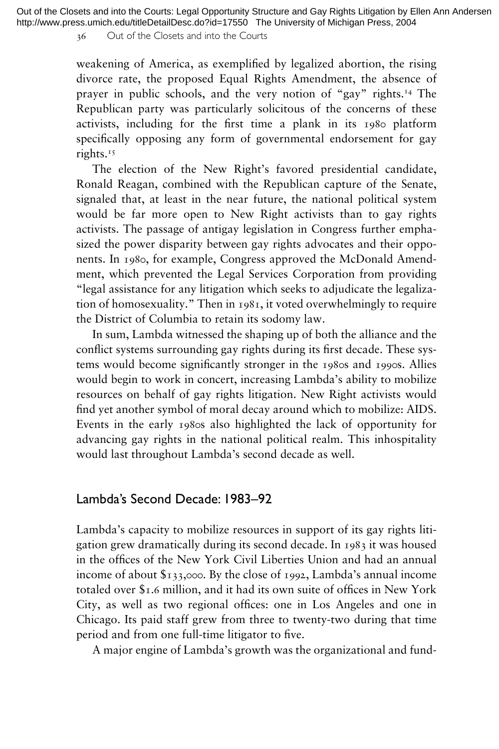36 Out of the Closets and into the Courts

weakening of America, as exemplified by legalized abortion, the rising divorce rate, the proposed Equal Rights Amendment, the absence of prayer in public schools, and the very notion of "gay" rights.14 The Republican party was particularly solicitous of the concerns of these activists, including for the first time a plank in its 1980 platform specifically opposing any form of governmental endorsement for gay rights.<sup>15</sup>

The election of the New Right's favored presidential candidate, Ronald Reagan, combined with the Republican capture of the Senate, signaled that, at least in the near future, the national political system would be far more open to New Right activists than to gay rights activists. The passage of antigay legislation in Congress further emphasized the power disparity between gay rights advocates and their opponents. In 1980, for example, Congress approved the McDonald Amendment, which prevented the Legal Services Corporation from providing "legal assistance for any litigation which seeks to adjudicate the legalization of homosexuality." Then in 1981, it voted overwhelmingly to require the District of Columbia to retain its sodomy law.

In sum, Lambda witnessed the shaping up of both the alliance and the conflict systems surrounding gay rights during its first decade. These systems would become significantly stronger in the 1980s and 1990s. Allies would begin to work in concert, increasing Lambda's ability to mobilize resources on behalf of gay rights litigation. New Right activists would find yet another symbol of moral decay around which to mobilize: AIDS. Events in the early 1980s also highlighted the lack of opportunity for advancing gay rights in the national political realm. This inhospitality would last throughout Lambda's second decade as well.

#### Lambda's Second Decade: 1983–92

Lambda's capacity to mobilize resources in support of its gay rights litigation grew dramatically during its second decade. In 1983 it was housed in the offices of the New York Civil Liberties Union and had an annual income of about \$133,000. By the close of 1992, Lambda's annual income totaled over  $$1.6$  million, and it had its own suite of offices in New York City, as well as two regional offices: one in Los Angeles and one in Chicago. Its paid staff grew from three to twenty-two during that time period and from one full-time litigator to five.

A major engine of Lambda's growth was the organizational and fund-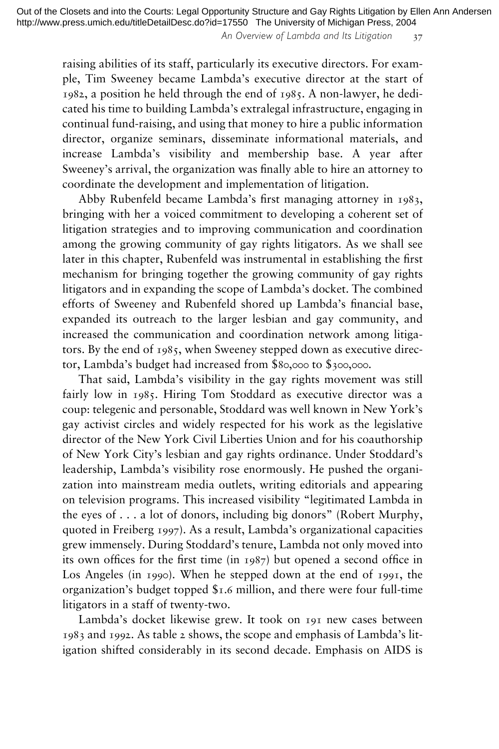*An Overview of Lambda and Its Litigation* 37

raising abilities of its staff, particularly its executive directors. For example, Tim Sweeney became Lambda's executive director at the start of 1982, a position he held through the end of 1985. A non-lawyer, he dedicated his time to building Lambda's extralegal infrastructure, engaging in continual fund-raising, and using that money to hire a public information director, organize seminars, disseminate informational materials, and increase Lambda's visibility and membership base. A year after Sweeney's arrival, the organization was finally able to hire an attorney to coordinate the development and implementation of litigation.

Abby Rubenfeld became Lambda's first managing attorney in 1983, bringing with her a voiced commitment to developing a coherent set of litigation strategies and to improving communication and coordination among the growing community of gay rights litigators. As we shall see later in this chapter, Rubenfeld was instrumental in establishing the first mechanism for bringing together the growing community of gay rights litigators and in expanding the scope of Lambda's docket. The combined efforts of Sweeney and Rubenfeld shored up Lambda's financial base, expanded its outreach to the larger lesbian and gay community, and increased the communication and coordination network among litigators. By the end of 1985, when Sweeney stepped down as executive director, Lambda's budget had increased from \$80,000 to \$300,000.

That said, Lambda's visibility in the gay rights movement was still fairly low in 1985. Hiring Tom Stoddard as executive director was a coup: telegenic and personable, Stoddard was well known in New York's gay activist circles and widely respected for his work as the legislative director of the New York Civil Liberties Union and for his coauthorship of New York City's lesbian and gay rights ordinance. Under Stoddard's leadership, Lambda's visibility rose enormously. He pushed the organization into mainstream media outlets, writing editorials and appearing on television programs. This increased visibility "legitimated Lambda in the eyes of . . . a lot of donors, including big donors" (Robert Murphy, quoted in Freiberg 1997). As a result, Lambda's organizational capacities grew immensely. During Stoddard's tenure, Lambda not only moved into its own offices for the first time (in  $1987$ ) but opened a second office in Los Angeles (in 1990). When he stepped down at the end of 1991, the organization's budget topped \$1.6 million, and there were four full-time litigators in a staff of twenty-two.

Lambda's docket likewise grew. It took on 191 new cases between 1983 and 1992. As table 2 shows, the scope and emphasis of Lambda's litigation shifted considerably in its second decade. Emphasis on AIDS is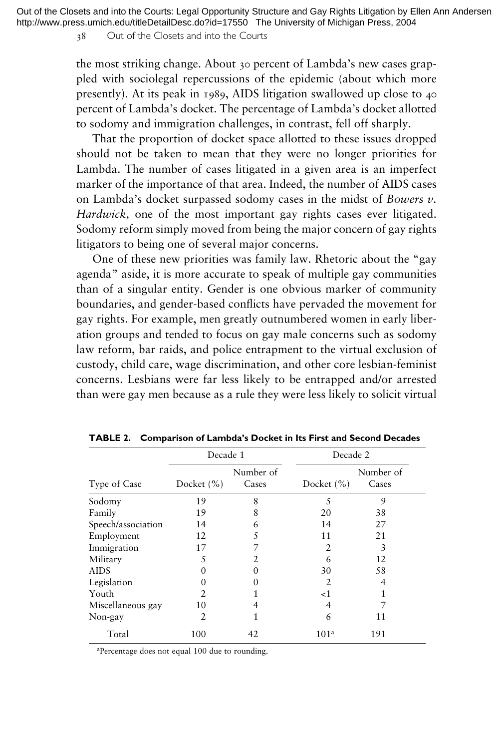38 Out of the Closets and into the Courts

the most striking change. About 30 percent of Lambda's new cases grappled with sociolegal repercussions of the epidemic (about which more presently). At its peak in 1989, AIDS litigation swallowed up close to 40 percent of Lambda's docket. The percentage of Lambda's docket allotted to sodomy and immigration challenges, in contrast, fell off sharply.

That the proportion of docket space allotted to these issues dropped should not be taken to mean that they were no longer priorities for Lambda. The number of cases litigated in a given area is an imperfect marker of the importance of that area. Indeed, the number of AIDS cases on Lambda's docket surpassed sodomy cases in the midst of *Bowers v. Hardwick,* one of the most important gay rights cases ever litigated. Sodomy reform simply moved from being the major concern of gay rights litigators to being one of several major concerns.

One of these new priorities was family law. Rhetoric about the "gay agenda" aside, it is more accurate to speak of multiple gay communities than of a singular entity. Gender is one obvious marker of community boundaries, and gender-based conflicts have pervaded the movement for gay rights. For example, men greatly outnumbered women in early liberation groups and tended to focus on gay male concerns such as sodomy law reform, bar raids, and police entrapment to the virtual exclusion of custody, child care, wage discrimination, and other core lesbian-feminist concerns. Lesbians were far less likely to be entrapped and/or arrested than were gay men because as a rule they were less likely to solicit virtual

|                    | Decade 1       |                    | Decade 2                    |                    |
|--------------------|----------------|--------------------|-----------------------------|--------------------|
| Type of Case       | Docket $(\% )$ | Number of<br>Cases | Docket $(\% )$              | Number of<br>Cases |
| Sodomy             | 19             | 8                  | 5                           | 9                  |
| Family             | 19             | 8                  | 20                          | 38                 |
| Speech/association | 14             | 6                  | 14                          | 27                 |
| Employment         | 12             | 5                  | 11                          | 21                 |
| Immigration        | 17             |                    | 2                           | 3                  |
| Military           | 5              | $\mathfrak{D}$     | 6                           | 12                 |
| <b>AIDS</b>        |                |                    | 30                          | 58                 |
| Legislation        |                |                    | $\mathcal{D}_{\mathcal{A}}$ |                    |
| Youth              | $\mathcal{P}$  |                    | <1                          |                    |
| Miscellaneous gay  | 10             |                    | 4                           |                    |
| Non-gay            | $\overline{2}$ |                    | 6                           | 11                 |
| Total              | 100            | 42                 | 101 <sup>a</sup>            | 191                |

**TABLE 2. Comparison of Lambda's Docket in Its First and Second Decades** 

aPercentage does not equal 100 due to rounding.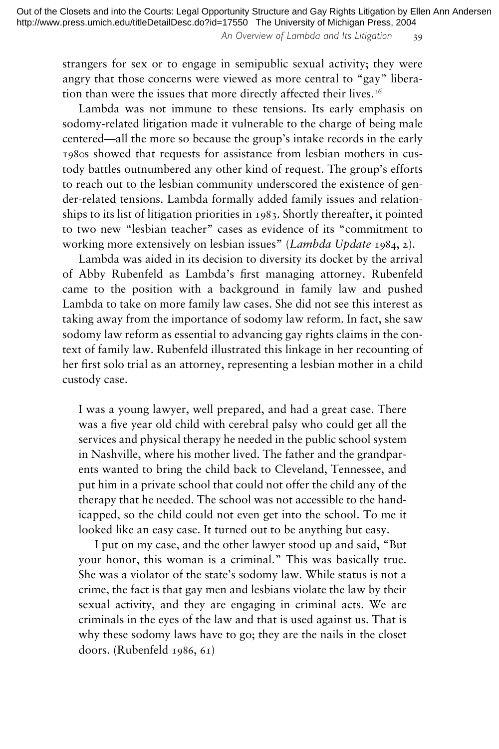An Overview of Lambda and Its Litigation 39

strangers for sex or to engage in semipublic sexual activity; they were angry that those concerns were viewed as more central to "gay" liberation than were the issues that more directly affected their lives.<sup>16</sup>

Lambda was not immune to these tensions. Its early emphasis on sodomy-related litigation made it vulnerable to the charge of being male centered—all the more so because the group's intake records in the early 1980s showed that requests for assistance from lesbian mothers in custody battles outnumbered any other kind of request. The group's efforts to reach out to the lesbian community underscored the existence of gender-related tensions. Lambda formally added family issues and relationships to its list of litigation priorities in 1983. Shortly thereafter, it pointed to two new "lesbian teacher" cases as evidence of its "commitment to working more extensively on lesbian issues" (*Lambda Update* 1984, 2).

Lambda was aided in its decision to diversity its docket by the arrival of Abby Rubenfeld as Lambda's first managing attorney. Rubenfeld came to the position with a background in family law and pushed Lambda to take on more family law cases. She did not see this interest as taking away from the importance of sodomy law reform. In fact, she saw sodomy law reform as essential to advancing gay rights claims in the context of family law. Rubenfeld illustrated this linkage in her recounting of her first solo trial as an attorney, representing a lesbian mother in a child custody case.

I was a young lawyer, well prepared, and had a great case. There was a five year old child with cerebral palsy who could get all the services and physical therapy he needed in the public school system in Nashville, where his mother lived. The father and the grandparents wanted to bring the child back to Cleveland, Tennessee, and put him in a private school that could not offer the child any of the therapy that he needed. The school was not accessible to the handicapped, so the child could not even get into the school. To me it looked like an easy case. It turned out to be anything but easy.

I put on my case, and the other lawyer stood up and said, "But your honor, this woman is a criminal." This was basically true. She was a violator of the state's sodomy law. While status is not a crime, the fact is that gay men and lesbians violate the law by their sexual activity, and they are engaging in criminal acts. We are criminals in the eyes of the law and that is used against us. That is why these sodomy laws have to go; they are the nails in the closet doors. (Rubenfeld 1986, 61)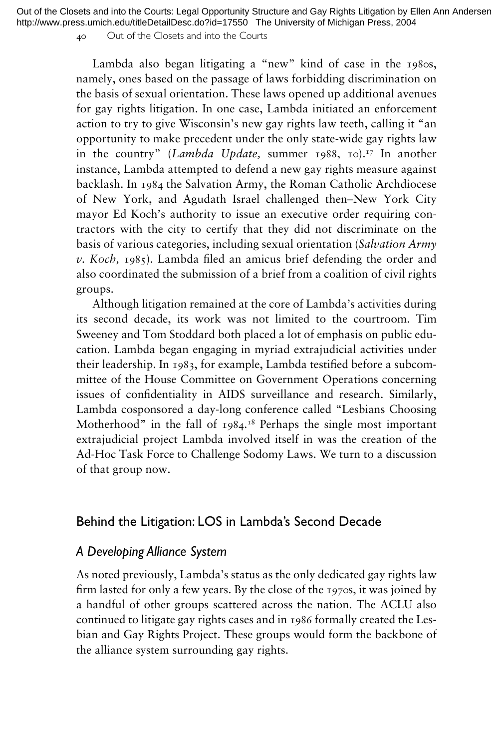40 Out of the Closets and into the Courts

Lambda also began litigating a "new" kind of case in the 1980s, namely, ones based on the passage of laws forbidding discrimination on the basis of sexual orientation. These laws opened up additional avenues for gay rights litigation. In one case, Lambda initiated an enforcement action to try to give Wisconsin's new gay rights law teeth, calling it "an opportunity to make precedent under the only state-wide gay rights law in the country" (*Lambda Update*, summer 1988, 10).<sup>17</sup> In another instance, Lambda attempted to defend a new gay rights measure against backlash. In 1984 the Salvation Army, the Roman Catholic Archdiocese of New York, and Agudath Israel challenged then–New York City mayor Ed Koch's authority to issue an executive order requiring contractors with the city to certify that they did not discriminate on the basis of various categories, including sexual orientation (*Salvation Army*  $v.$  Koch,  $1985$ ). Lambda filed an amicus brief defending the order and also coordinated the submission of a brief from a coalition of civil rights groups.

Although litigation remained at the core of Lambda's activities during its second decade, its work was not limited to the courtroom. Tim Sweeney and Tom Stoddard both placed a lot of emphasis on public education. Lambda began engaging in myriad extrajudicial activities under their leadership. In 1983, for example, Lambda testified before a subcommittee of the House Committee on Government Operations concerning issues of confidentiality in AIDS surveillance and research. Similarly, Lambda cosponsored a day-long conference called "Lesbians Choosing Motherhood" in the fall of  $1984$ .<sup>18</sup> Perhaps the single most important extrajudicial project Lambda involved itself in was the creation of the Ad-Hoc Task Force to Challenge Sodomy Laws. We turn to a discussion of that group now.

### Behind the Litigation: LOS in Lambda's Second Decade

#### *A Developing Alliance System*

As noted previously, Lambda's status as the only dedicated gay rights law firm lasted for only a few years. By the close of the  $1970s$ , it was joined by a handful of other groups scattered across the nation. The ACLU also continued to litigate gay rights cases and in 1986 formally created the Lesbian and Gay Rights Project. These groups would form the backbone of the alliance system surrounding gay rights.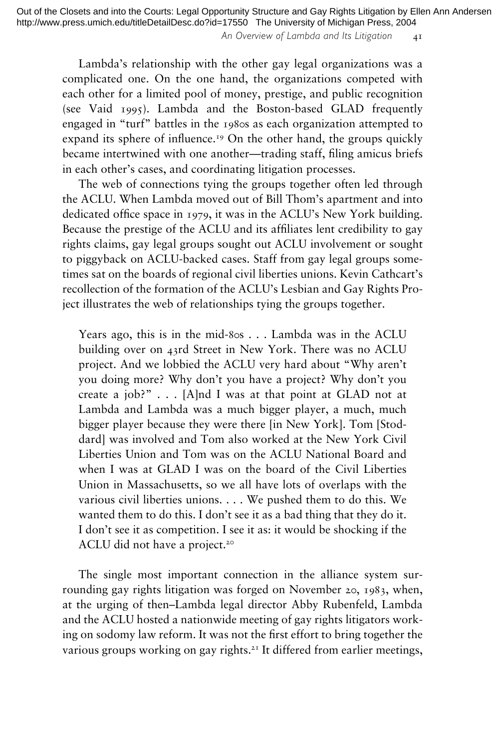An Overview of Lambda and Its Litigation 41

Lambda's relationship with the other gay legal organizations was a complicated one. On the one hand, the organizations competed with each other for a limited pool of money, prestige, and public recognition (see Vaid 1995). Lambda and the Boston-based GLAD frequently engaged in "turf" battles in the 1980s as each organization attempted to expand its sphere of influence.<sup>19</sup> On the other hand, the groups quickly became intertwined with one another—trading staff, filing amicus briefs in each other's cases, and coordinating litigation processes.

The web of connections tying the groups together often led through the ACLU. When Lambda moved out of Bill Thom's apartment and into dedicated office space in 1979, it was in the ACLU's New York building. Because the prestige of the ACLU and its affiliates lent credibility to gay rights claims, gay legal groups sought out ACLU involvement or sought to piggyback on ACLU-backed cases. Staff from gay legal groups sometimes sat on the boards of regional civil liberties unions. Kevin Cathcart's recollection of the formation of the ACLU's Lesbian and Gay Rights Project illustrates the web of relationships tying the groups together.

Years ago, this is in the mid-80s . . . Lambda was in the ACLU building over on 43rd Street in New York. There was no ACLU project. And we lobbied the ACLU very hard about "Why aren't you doing more? Why don't you have a project? Why don't you create a job?" . . . [A]nd I was at that point at GLAD not at Lambda and Lambda was a much bigger player, a much, much bigger player because they were there [in New York]. Tom [Stoddard] was involved and Tom also worked at the New York Civil Liberties Union and Tom was on the ACLU National Board and when I was at GLAD I was on the board of the Civil Liberties Union in Massachusetts, so we all have lots of overlaps with the various civil liberties unions. . . . We pushed them to do this. We wanted them to do this. I don't see it as a bad thing that they do it. I don't see it as competition. I see it as: it would be shocking if the ACLU did not have a project.<sup>20</sup>

The single most important connection in the alliance system surrounding gay rights litigation was forged on November 20, 1983, when, at the urging of then–Lambda legal director Abby Rubenfeld, Lambda and the ACLU hosted a nationwide meeting of gay rights litigators working on sodomy law reform. It was not the first effort to bring together the various groups working on gay rights.<sup>21</sup> It differed from earlier meetings,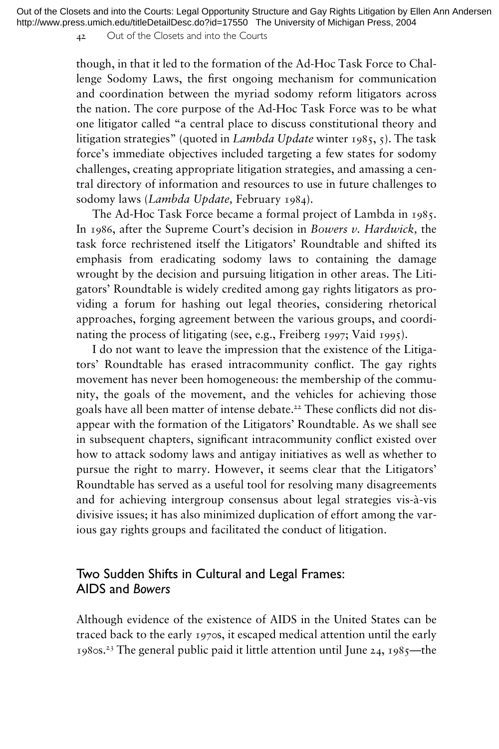42 Out of the Closets and into the Courts

though, in that it led to the formation of the Ad-Hoc Task Force to Challenge Sodomy Laws, the first ongoing mechanism for communication and coordination between the myriad sodomy reform litigators across the nation. The core purpose of the Ad-Hoc Task Force was to be what one litigator called "a central place to discuss constitutional theory and litigation strategies" (quoted in *Lambda Update* winter 1985, 5). The task force's immediate objectives included targeting a few states for sodomy challenges, creating appropriate litigation strategies, and amassing a central directory of information and resources to use in future challenges to sodomy laws (*Lambda Update,* February 1984).

The Ad-Hoc Task Force became a formal project of Lambda in 1985. In 1986, after the Supreme Court's decision in *Bowers v. Hardwick,* the task force rechristened itself the Litigators' Roundtable and shifted its emphasis from eradicating sodomy laws to containing the damage wrought by the decision and pursuing litigation in other areas. The Litigators' Roundtable is widely credited among gay rights litigators as providing a forum for hashing out legal theories, considering rhetorical approaches, forging agreement between the various groups, and coordinating the process of litigating (see, e.g., Freiberg 1997; Vaid 1995).

I do not want to leave the impression that the existence of the Litigators' Roundtable has erased intracommunity conflict. The gay rights movement has never been homogeneous: the membership of the community, the goals of the movement, and the vehicles for achieving those goals have all been matter of intense debate.<sup>22</sup> These conflicts did not disappear with the formation of the Litigators' Roundtable. As we shall see in subsequent chapters, significant intracommunity conflict existed over how to attack sodomy laws and antigay initiatives as well as whether to pursue the right to marry. However, it seems clear that the Litigators' Roundtable has served as a useful tool for resolving many disagreements and for achieving intergroup consensus about legal strategies vis-à-vis divisive issues; it has also minimized duplication of effort among the various gay rights groups and facilitated the conduct of litigation.

# Two Sudden Shifts in Cultural and Legal Frames: AIDS and *Bowers*

Although evidence of the existence of AIDS in the United States can be traced back to the early 1970s, it escaped medical attention until the early 1980s.23 The general public paid it little attention until June 24, 1985—the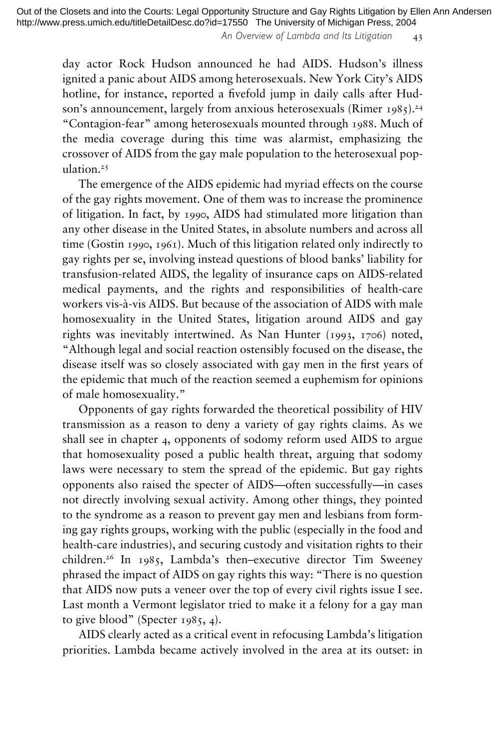*An Overview of Lambda and Its Litigation* 43

day actor Rock Hudson announced he had AIDS. Hudson's illness ignited a panic about AIDS among heterosexuals. New York City's AIDS hotline, for instance, reported a fivefold jump in daily calls after Hudson's announcement, largely from anxious heterosexuals (Rimer  $1985$ ).<sup>24</sup> "Contagion-fear" among heterosexuals mounted through 1988. Much of the media coverage during this time was alarmist, emphasizing the crossover of AIDS from the gay male population to the heterosexual population.<sup>25</sup>

The emergence of the AIDS epidemic had myriad effects on the course of the gay rights movement. One of them was to increase the prominence of litigation. In fact, by 1990, AIDS had stimulated more litigation than any other disease in the United States, in absolute numbers and across all time (Gostin 1990, 1961). Much of this litigation related only indirectly to gay rights per se, involving instead questions of blood banks' liability for transfusion-related AIDS, the legality of insurance caps on AIDS-related medical payments, and the rights and responsibilities of health-care workers vis-à-vis AIDS. But because of the association of AIDS with male homosexuality in the United States, litigation around AIDS and gay rights was inevitably intertwined. As Nan Hunter (1993, 1706) noted, "Although legal and social reaction ostensibly focused on the disease, the disease itself was so closely associated with gay men in the first years of the epidemic that much of the reaction seemed a euphemism for opinions of male homosexuality."

Opponents of gay rights forwarded the theoretical possibility of HIV transmission as a reason to deny a variety of gay rights claims. As we shall see in chapter 4, opponents of sodomy reform used AIDS to argue that homosexuality posed a public health threat, arguing that sodomy laws were necessary to stem the spread of the epidemic. But gay rights opponents also raised the specter of AIDS—often successfully—in cases not directly involving sexual activity. Among other things, they pointed to the syndrome as a reason to prevent gay men and lesbians from forming gay rights groups, working with the public (especially in the food and health-care industries), and securing custody and visitation rights to their children.26 In 1985, Lambda's then–executive director Tim Sweeney phrased the impact of AIDS on gay rights this way: "There is no question that AIDS now puts a veneer over the top of every civil rights issue I see. Last month a Vermont legislator tried to make it a felony for a gay man to give blood" (Specter 1985, 4).

AIDS clearly acted as a critical event in refocusing Lambda's litigation priorities. Lambda became actively involved in the area at its outset: in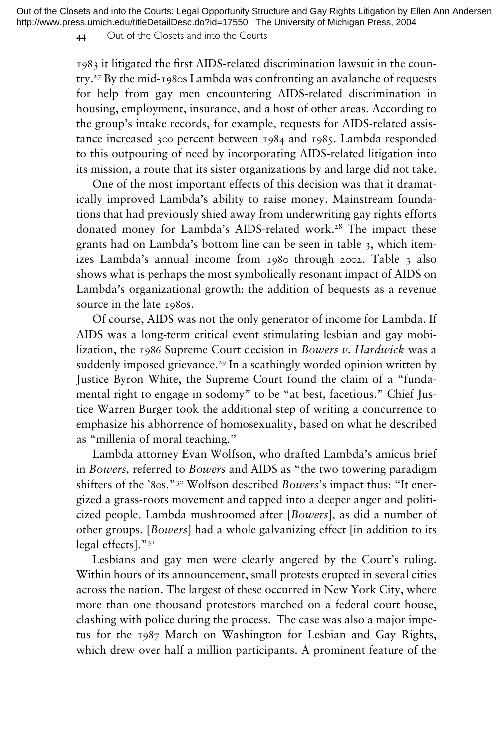44 Out of the Closets and into the Courts

1983 it litigated the first AIDS-related discrimination lawsuit in the country.27 By the mid-1980s Lambda was confronting an avalanche of requests for help from gay men encountering AIDS-related discrimination in housing, employment, insurance, and a host of other areas. According to the group's intake records, for example, requests for AIDS-related assistance increased 300 percent between 1984 and 1985. Lambda responded to this outpouring of need by incorporating AIDS-related litigation into its mission, a route that its sister organizations by and large did not take.

One of the most important effects of this decision was that it dramatically improved Lambda's ability to raise money. Mainstream foundations that had previously shied away from underwriting gay rights efforts donated money for Lambda's AIDS-related work.<sup>28</sup> The impact these grants had on Lambda's bottom line can be seen in table 3, which itemizes Lambda's annual income from 1980 through 2002. Table 3 also shows what is perhaps the most symbolically resonant impact of AIDS on Lambda's organizational growth: the addition of bequests as a revenue source in the late 1980s.

Of course, AIDS was not the only generator of income for Lambda. If AIDS was a long-term critical event stimulating lesbian and gay mobilization, the 1986 Supreme Court decision in *Bowers v. Hardwick* was a suddenly imposed grievance.<sup>29</sup> In a scathingly worded opinion written by Justice Byron White, the Supreme Court found the claim of a "fundamental right to engage in sodomy" to be "at best, facetious." Chief Justice Warren Burger took the additional step of writing a concurrence to emphasize his abhorrence of homosexuality, based on what he described as "millenia of moral teaching."

Lambda attorney Evan Wolfson, who drafted Lambda's amicus brief in *Bowers,* referred to *Bowers* and AIDS as "the two towering paradigm shifters of the '80s."30 Wolfson described *Bowers*'s impact thus: "It energized a grass-roots movement and tapped into a deeper anger and politicized people. Lambda mushroomed after [*Bowers*], as did a number of other groups. [*Bowers*] had a whole galvanizing effect [in addition to its legal effects]."31

Lesbians and gay men were clearly angered by the Court's ruling. Within hours of its announcement, small protests erupted in several cities across the nation. The largest of these occurred in New York City, where more than one thousand protestors marched on a federal court house, clashing with police during the process. The case was also a major impetus for the 1987 March on Washington for Lesbian and Gay Rights, which drew over half a million participants. A prominent feature of the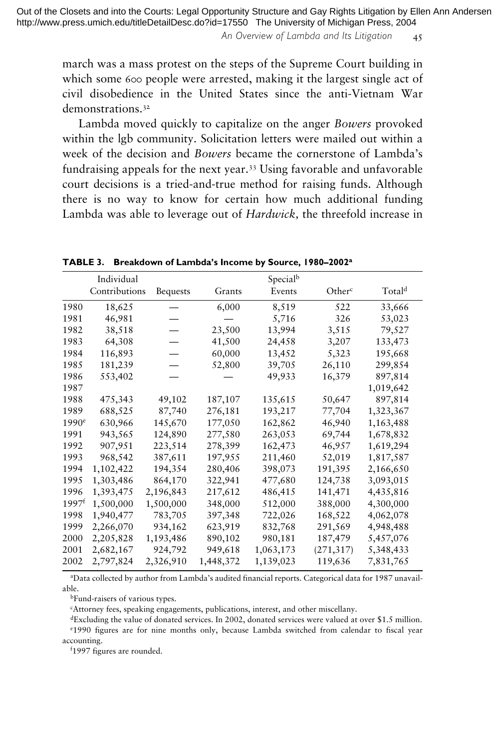*An Overview of Lambda and Its Litigation* 45

march was a mass protest on the steps of the Supreme Court building in which some 600 people were arrested, making it the largest single act of civil disobedience in the United States since the anti-Vietnam War demonstrations.32

Lambda moved quickly to capitalize on the anger *Bowers* provoked within the lgb community. Solicitation letters were mailed out within a week of the decision and *Bowers* became the cornerstone of Lambda's fundraising appeals for the next year.33 Using favorable and unfavorable court decisions is a tried-and-true method for raising funds. Although there is no way to know for certain how much additional funding Lambda was able to leverage out of *Hardwick,* the threefold increase in

|                   | Individual    |                 |           | Specialb  |                    |                    |
|-------------------|---------------|-----------------|-----------|-----------|--------------------|--------------------|
|                   | Contributions | <b>Bequests</b> | Grants    | Events    | Other <sup>c</sup> | Total <sup>d</sup> |
| 1980              | 18,625        |                 | 6,000     | 8,519     | 522                | 33,666             |
| 1981              | 46,981        |                 |           | 5,716     | 326                | 53,023             |
| 1982              | 38,518        |                 | 23,500    | 13,994    | 3,515              | 79,527             |
| 1983              | 64,308        |                 | 41,500    | 24,458    | 3,207              | 133,473            |
| 1984              | 116,893       |                 | 60,000    | 13,452    | 5,323              | 195,668            |
| 1985              | 181,239       |                 | 52,800    | 39,705    | 26,110             | 299,854            |
| 1986              | 553,402       |                 |           | 49,933    | 16,379             | 897,814            |
| 1987              |               |                 |           |           |                    | 1,019,642          |
| 1988              | 475,343       | 49,102          | 187,107   | 135,615   | 50,647             | 897,814            |
| 1989              | 688,525       | 87,740          | 276,181   | 193,217   | 77,704             | 1,323,367          |
| 1990 <sup>e</sup> | 630,966       | 145,670         | 177,050   | 162,862   | 46,940             | 1,163,488          |
| 1991              | 943,565       | 124,890         | 277,580   | 263,053   | 69,744             | 1,678,832          |
| 1992              | 907,951       | 223,514         | 278,399   | 162,473   | 46,957             | 1,619,294          |
| 1993              | 968,542       | 387,611         | 197,955   | 211,460   | 52,019             | 1,817,587          |
| 1994              | 1,102,422     | 194,354         | 280,406   | 398,073   | 191,395            | 2,166,650          |
| 1995              | 1,303,486     | 864,170         | 322,941   | 477,680   | 124,738            | 3,093,015          |
| 1996              | 1,393,475     | 2,196,843       | 217,612   | 486,415   | 141,471            | 4,435,816          |
| 1997 <sup>f</sup> | 1,500,000     | 1,500,000       | 348,000   | 512,000   | 388,000            | 4,300,000          |
| 1998              | 1,940,477     | 783,705         | 397,348   | 722,026   | 168,522            | 4,062,078          |
| 1999              | 2,266,070     | 934,162         | 623,919   | 832,768   | 291,569            | 4,948,488          |
| 2000              | 2,205,828     | 1,193,486       | 890,102   | 980,181   | 187,479            | 5,457,076          |
| 2001              | 2,682,167     | 924,792         | 949,618   | 1,063,173 | (271, 317)         | 5,348,433          |
| 2002              | 2,797,824     | 2,326,910       | 1,448,372 | 1,139,023 | 119,636            | 7,831,765          |

**TABLE 3. Breakdown of Lambda's Income by Source, 1980–2002<sup>a</sup>**

aData collected by author from Lambda's audited financial reports. Categorical data for 1987 unavailable.

bFund-raisers of various types.

c Attorney fees, speaking engagements, publications, interest, and other miscellany.

dExcluding the value of donated services. In 2002, donated services were valued at over \$1.5 million. e 1990 figures are for nine months only, because Lambda switched from calendar to fiscal year accounting.

f 1997 figures are rounded.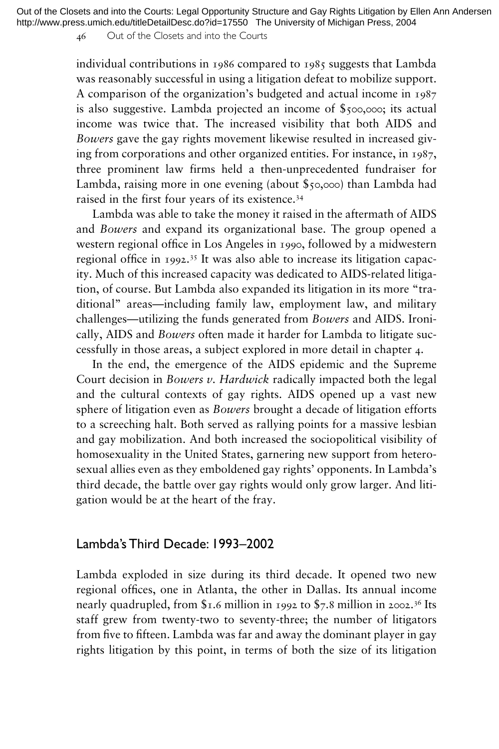46 Out of the Closets and into the Courts

individual contributions in 1986 compared to 1985 suggests that Lambda was reasonably successful in using a litigation defeat to mobilize support. A comparison of the organization's budgeted and actual income in 1987 is also suggestive. Lambda projected an income of \$500,000; its actual income was twice that. The increased visibility that both AIDS and *Bowers* gave the gay rights movement likewise resulted in increased giving from corporations and other organized entities. For instance, in 1987, three prominent law firms held a then-unprecedented fundraiser for Lambda, raising more in one evening (about \$50,000) than Lambda had raised in the first four years of its existence.34

Lambda was able to take the money it raised in the aftermath of AIDS and *Bowers* and expand its organizational base. The group opened a western regional office in Los Angeles in 1990, followed by a midwestern regional office in  $1992.<sup>35</sup>$  It was also able to increase its litigation capacity. Much of this increased capacity was dedicated to AIDS-related litigation, of course. But Lambda also expanded its litigation in its more "traditional" areas—including family law, employment law, and military challenges—utilizing the funds generated from *Bowers* and AIDS. Ironically, AIDS and *Bowers* often made it harder for Lambda to litigate successfully in those areas, a subject explored in more detail in chapter 4.

In the end, the emergence of the AIDS epidemic and the Supreme Court decision in *Bowers v. Hardwick* radically impacted both the legal and the cultural contexts of gay rights. AIDS opened up a vast new sphere of litigation even as *Bowers* brought a decade of litigation efforts to a screeching halt. Both served as rallying points for a massive lesbian and gay mobilization. And both increased the sociopolitical visibility of homosexuality in the United States, garnering new support from heterosexual allies even as they emboldened gay rights' opponents. In Lambda's third decade, the battle over gay rights would only grow larger. And litigation would be at the heart of the fray.

#### Lambda's Third Decade: 1993–2002

Lambda exploded in size during its third decade. It opened two new regional offices, one in Atlanta, the other in Dallas. Its annual income nearly quadrupled, from  $$1.6$  million in 1992 to  $$7.8$  million in 2002.<sup>36</sup> Its staff grew from twenty-two to seventy-three; the number of litigators from five to fifteen. Lambda was far and away the dominant player in gay rights litigation by this point, in terms of both the size of its litigation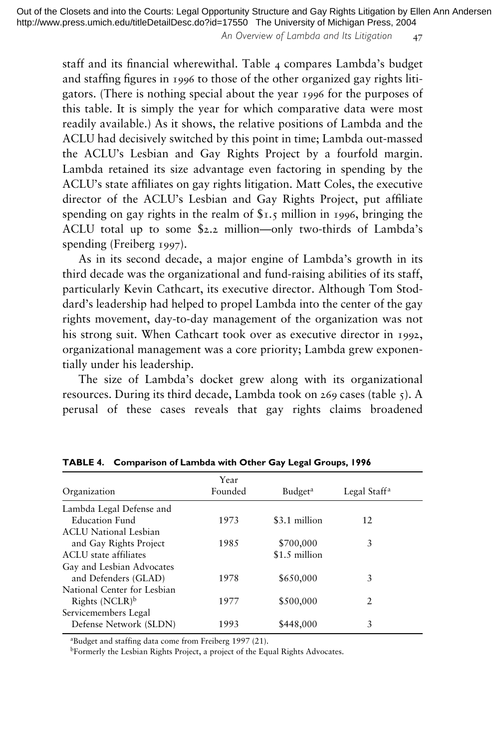*An Overview of Lambda and Its Litigation* 47

staff and its financial wherewithal. Table 4 compares Lambda's budget and staffing figures in 1996 to those of the other organized gay rights litigators. (There is nothing special about the year 1996 for the purposes of this table. It is simply the year for which comparative data were most readily available.) As it shows, the relative positions of Lambda and the ACLU had decisively switched by this point in time; Lambda out-massed the ACLU's Lesbian and Gay Rights Project by a fourfold margin. Lambda retained its size advantage even factoring in spending by the ACLU's state affiliates on gay rights litigation. Matt Coles, the executive director of the ACLU's Lesbian and Gay Rights Project, put affiliate spending on gay rights in the realm of  $\S$ <sub>1.5</sub> million in 1996, bringing the ACLU total up to some \$2.2 million—only two-thirds of Lambda's spending (Freiberg 1997).

As in its second decade, a major engine of Lambda's growth in its third decade was the organizational and fund-raising abilities of its staff, particularly Kevin Cathcart, its executive director. Although Tom Stoddard's leadership had helped to propel Lambda into the center of the gay rights movement, day-to-day management of the organization was not his strong suit. When Cathcart took over as executive director in 1992, organizational management was a core priority; Lambda grew exponentially under his leadership.

The size of Lambda's docket grew along with its organizational resources. During its third decade, Lambda took on 269 cases (table 5). A perusal of these cases reveals that gay rights claims broadened

| Organization                 | Year<br>Founded | <b>Budget</b> <sup>a</sup> | Legal Staff <sup>a</sup> |  |
|------------------------------|-----------------|----------------------------|--------------------------|--|
| Lambda Legal Defense and     |                 |                            |                          |  |
| Education Fund               | 1973            | \$3.1 million              | 12                       |  |
| <b>ACLU</b> National Lesbian |                 |                            |                          |  |
| and Gay Rights Project       | 1985            | \$700,000                  | 3                        |  |
| ACLU state affiliates        |                 | \$1.5 million              |                          |  |
| Gay and Lesbian Advocates    |                 |                            |                          |  |
| and Defenders (GLAD)         | 1978            | \$650,000                  | 3                        |  |
| National Center for Lesbian  |                 |                            |                          |  |
| Rights $(NCLR)^b$            | 1977            | \$500,000                  | 2                        |  |
| Servicemembers Legal         |                 |                            |                          |  |
| Defense Network (SLDN)       | 1993            | \$448,000                  | 3                        |  |
|                              |                 |                            |                          |  |

**TABLE 4. Comparison of Lambda with Other Gay Legal Groups, 1996**

aBudget and staffing data come from Freiberg 1997 (21).

bFormerly the Lesbian Rights Project, a project of the Equal Rights Advocates.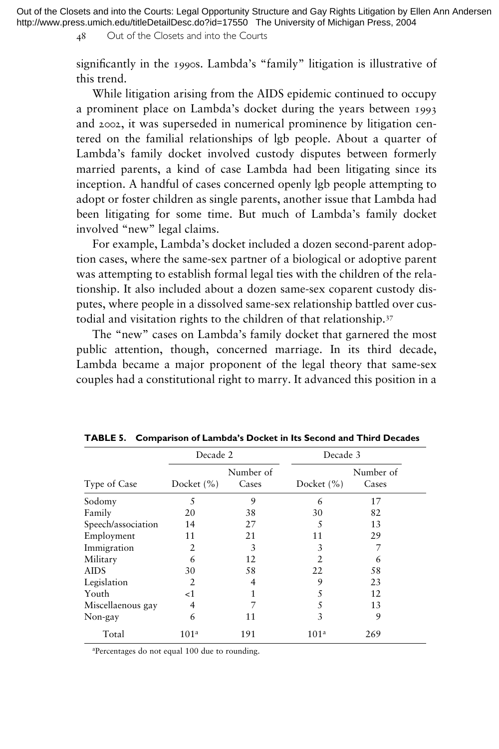48 Out of the Closets and into the Courts

significantly in the 1990s. Lambda's "family" litigation is illustrative of this trend.

While litigation arising from the AIDS epidemic continued to occupy a prominent place on Lambda's docket during the years between 1993 and 2002, it was superseded in numerical prominence by litigation centered on the familial relationships of lgb people. About a quarter of Lambda's family docket involved custody disputes between formerly married parents, a kind of case Lambda had been litigating since its inception. A handful of cases concerned openly lgb people attempting to adopt or foster children as single parents, another issue that Lambda had been litigating for some time. But much of Lambda's family docket involved "new" legal claims.

For example, Lambda's docket included a dozen second-parent adoption cases, where the same-sex partner of a biological or adoptive parent was attempting to establish formal legal ties with the children of the relationship. It also included about a dozen same-sex coparent custody disputes, where people in a dissolved same-sex relationship battled over custodial and visitation rights to the children of that relationship.37

The "new" cases on Lambda's family docket that garnered the most public attention, though, concerned marriage. In its third decade, Lambda became a major proponent of the legal theory that same-sex couples had a constitutional right to marry. It advanced this position in a

|                    | Decade 2                    |                    | Decade 3       |                    |  |
|--------------------|-----------------------------|--------------------|----------------|--------------------|--|
| Type of Case       | Docket $(\% )$              | Number of<br>Cases | Docket $(\% )$ | Number of<br>Cases |  |
| Sodomy             | 5                           | 9                  | 6              | 17                 |  |
| Family             | 20                          | 38                 | 30             | 82                 |  |
| Speech/association | 14                          | 27                 | 5              | 13                 |  |
| Employment         | 11                          | 21                 | 11             | 29                 |  |
| Immigration        | 2                           | 3                  | 3              |                    |  |
| Military           | 6                           | 12                 | $\mathfrak{D}$ | 6                  |  |
| <b>AIDS</b>        | 30                          | 58                 | 22             | 58                 |  |
| Legislation        | $\mathcal{D}_{\mathcal{A}}$ | 4                  | 9              | 23                 |  |
| Youth              | ${<}1$                      |                    |                | 12                 |  |
| Miscellaenous gay  | 4                           |                    | 5              | 13                 |  |
| Non-gay            | 6                           | 11                 | 3              | 9                  |  |
| Total              | 101 <sup>a</sup>            | 191                | $101^{\rm a}$  | 269                |  |

**TABLE 5. Comparison of Lambda's Docket in Its Second and Third Decades**

aPercentages do not equal 100 due to rounding.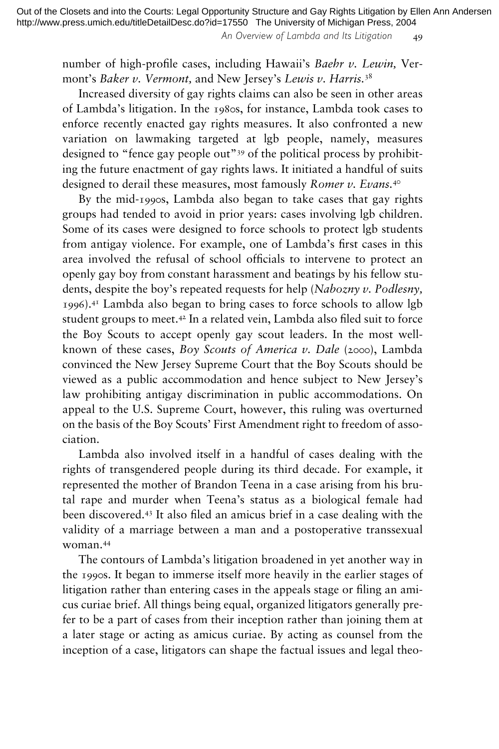*An Overview of Lambda and Its Litigation* 49

number of high-profile cases, including Hawaii's *Baehr v. Lewin*, Vermont's *Baker v. Vermont,* and New Jersey's *Lewis v. Harris.*<sup>38</sup>

Increased diversity of gay rights claims can also be seen in other areas of Lambda's litigation. In the 1980s, for instance, Lambda took cases to enforce recently enacted gay rights measures. It also confronted a new variation on lawmaking targeted at lgb people, namely, measures designed to "fence gay people out"39 of the political process by prohibiting the future enactment of gay rights laws. It initiated a handful of suits designed to derail these measures, most famously *Romer v. Evans.*<sup>40</sup>

By the mid-1990s, Lambda also began to take cases that gay rights groups had tended to avoid in prior years: cases involving lgb children. Some of its cases were designed to force schools to protect lgb students from antigay violence. For example, one of Lambda's first cases in this area involved the refusal of school officials to intervene to protect an openly gay boy from constant harassment and beatings by his fellow students, despite the boy's repeated requests for help (*Nabozny v. Podlesny,* 1996).41 Lambda also began to bring cases to force schools to allow lgb student groups to meet.<sup>42</sup> In a related vein, Lambda also filed suit to force the Boy Scouts to accept openly gay scout leaders. In the most wellknown of these cases, *Boy Scouts of America v. Dale* (2000), Lambda convinced the New Jersey Supreme Court that the Boy Scouts should be viewed as a public accommodation and hence subject to New Jersey's law prohibiting antigay discrimination in public accommodations. On appeal to the U.S. Supreme Court, however, this ruling was overturned on the basis of the Boy Scouts' First Amendment right to freedom of association.

Lambda also involved itself in a handful of cases dealing with the rights of transgendered people during its third decade. For example, it represented the mother of Brandon Teena in a case arising from his brutal rape and murder when Teena's status as a biological female had been discovered.<sup>43</sup> It also filed an amicus brief in a case dealing with the validity of a marriage between a man and a postoperative transsexual woman.44

The contours of Lambda's litigation broadened in yet another way in the 1990s. It began to immerse itself more heavily in the earlier stages of litigation rather than entering cases in the appeals stage or filing an amicus curiae brief. All things being equal, organized litigators generally prefer to be a part of cases from their inception rather than joining them at a later stage or acting as amicus curiae. By acting as counsel from the inception of a case, litigators can shape the factual issues and legal theo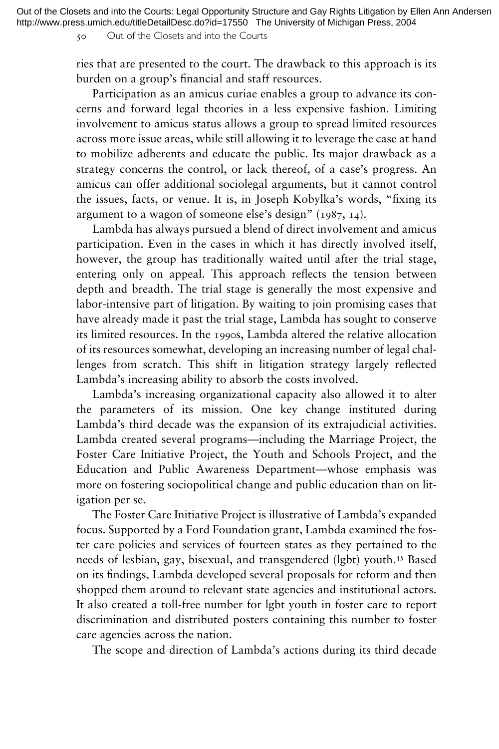50 Out of the Closets and into the Courts

ries that are presented to the court. The drawback to this approach is its burden on a group's financial and staff resources.

Participation as an amicus curiae enables a group to advance its concerns and forward legal theories in a less expensive fashion. Limiting involvement to amicus status allows a group to spread limited resources across more issue areas, while still allowing it to leverage the case at hand to mobilize adherents and educate the public. Its major drawback as a strategy concerns the control, or lack thereof, of a case's progress. An amicus can offer additional sociolegal arguments, but it cannot control the issues, facts, or venue. It is, in Joseph Kobylka's words, "fixing its argument to a wagon of someone else's design" (1987, 14).

Lambda has always pursued a blend of direct involvement and amicus participation. Even in the cases in which it has directly involved itself, however, the group has traditionally waited until after the trial stage, entering only on appeal. This approach reflects the tension between depth and breadth. The trial stage is generally the most expensive and labor-intensive part of litigation. By waiting to join promising cases that have already made it past the trial stage, Lambda has sought to conserve its limited resources. In the 1990s, Lambda altered the relative allocation of its resources somewhat, developing an increasing number of legal challenges from scratch. This shift in litigation strategy largely reflected Lambda's increasing ability to absorb the costs involved.

Lambda's increasing organizational capacity also allowed it to alter the parameters of its mission. One key change instituted during Lambda's third decade was the expansion of its extrajudicial activities. Lambda created several programs—including the Marriage Project, the Foster Care Initiative Project, the Youth and Schools Project, and the Education and Public Awareness Department—whose emphasis was more on fostering sociopolitical change and public education than on litigation per se.

The Foster Care Initiative Project is illustrative of Lambda's expanded focus. Supported by a Ford Foundation grant, Lambda examined the foster care policies and services of fourteen states as they pertained to the needs of lesbian, gay, bisexual, and transgendered (lgbt) youth.45 Based on its findings, Lambda developed several proposals for reform and then shopped them around to relevant state agencies and institutional actors. It also created a toll-free number for lgbt youth in foster care to report discrimination and distributed posters containing this number to foster care agencies across the nation.

The scope and direction of Lambda's actions during its third decade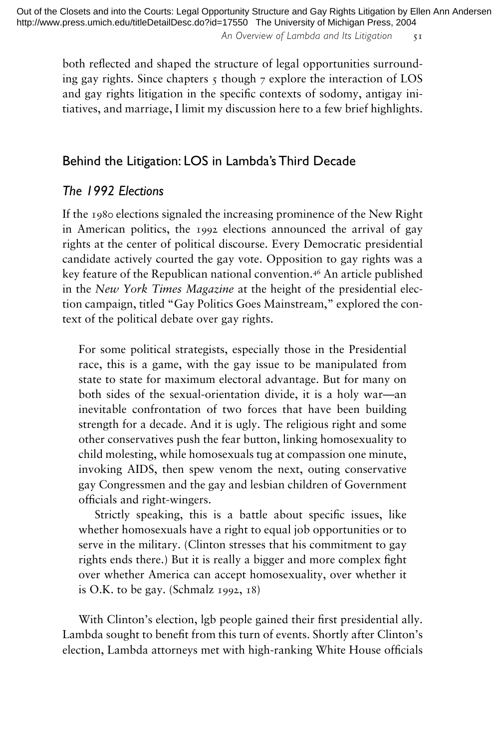An Overview of Lambda and Its Litigation 51

both reflected and shaped the structure of legal opportunities surrounding gay rights. Since chapters  $\frac{1}{2}$  though  $\frac{1}{2}$  explore the interaction of LOS and gay rights litigation in the specific contexts of sodomy, antigay initiatives, and marriage, I limit my discussion here to a few brief highlights.

# Behind the Litigation: LOS in Lambda's Third Decade

### *The 1992 Elections*

If the 1980 elections signaled the increasing prominence of the New Right in American politics, the 1992 elections announced the arrival of gay rights at the center of political discourse. Every Democratic presidential candidate actively courted the gay vote. Opposition to gay rights was a key feature of the Republican national convention.46 An article published in the *New York Times Magazine* at the height of the presidential election campaign, titled "Gay Politics Goes Mainstream," explored the context of the political debate over gay rights.

For some political strategists, especially those in the Presidential race, this is a game, with the gay issue to be manipulated from state to state for maximum electoral advantage. But for many on both sides of the sexual-orientation divide, it is a holy war—an inevitable confrontation of two forces that have been building strength for a decade. And it is ugly. The religious right and some other conservatives push the fear button, linking homosexuality to child molesting, while homosexuals tug at compassion one minute, invoking AIDS, then spew venom the next, outing conservative gay Congressmen and the gay and lesbian children of Government officials and right-wingers.

Strictly speaking, this is a battle about specific issues, like whether homosexuals have a right to equal job opportunities or to serve in the military. (Clinton stresses that his commitment to gay rights ends there.) But it is really a bigger and more complex fight over whether America can accept homosexuality, over whether it is O.K. to be gay. (Schmalz  $1992$ ,  $18$ )

With Clinton's election, lgb people gained their first presidential ally. Lambda sought to benefit from this turn of events. Shortly after Clinton's election, Lambda attorneys met with high-ranking White House officials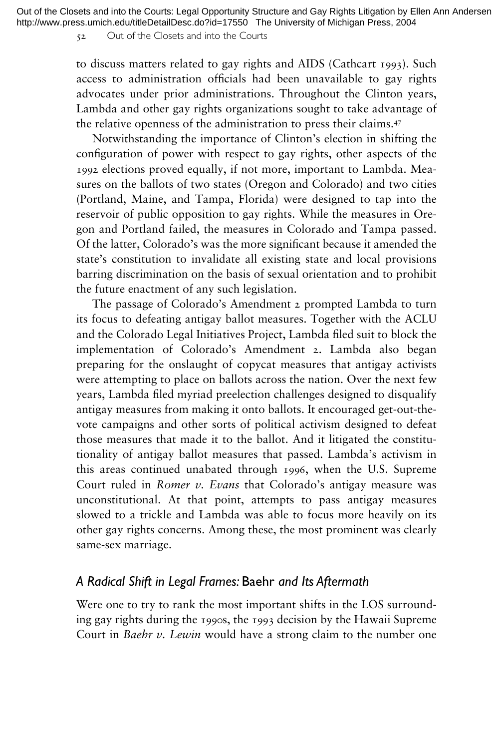52 Out of the Closets and into the Courts

to discuss matters related to gay rights and AIDS (Cathcart 1993). Such access to administration officials had been unavailable to gay rights advocates under prior administrations. Throughout the Clinton years, Lambda and other gay rights organizations sought to take advantage of the relative openness of the administration to press their claims.47

Notwithstanding the importance of Clinton's election in shifting the configuration of power with respect to gay rights, other aspects of the 1992 elections proved equally, if not more, important to Lambda. Measures on the ballots of two states (Oregon and Colorado) and two cities (Portland, Maine, and Tampa, Florida) were designed to tap into the reservoir of public opposition to gay rights. While the measures in Oregon and Portland failed, the measures in Colorado and Tampa passed. Of the latter, Colorado's was the more significant because it amended the state's constitution to invalidate all existing state and local provisions barring discrimination on the basis of sexual orientation and to prohibit the future enactment of any such legislation.

The passage of Colorado's Amendment 2 prompted Lambda to turn its focus to defeating antigay ballot measures. Together with the ACLU and the Colorado Legal Initiatives Project, Lambda filed suit to block the implementation of Colorado's Amendment 2. Lambda also began preparing for the onslaught of copycat measures that antigay activists were attempting to place on ballots across the nation. Over the next few years, Lambda filed myriad preelection challenges designed to disqualify antigay measures from making it onto ballots. It encouraged get-out-thevote campaigns and other sorts of political activism designed to defeat those measures that made it to the ballot. And it litigated the constitutionality of antigay ballot measures that passed. Lambda's activism in this areas continued unabated through 1996, when the U.S. Supreme Court ruled in *Romer v. Evans* that Colorado's antigay measure was unconstitutional. At that point, attempts to pass antigay measures slowed to a trickle and Lambda was able to focus more heavily on its other gay rights concerns. Among these, the most prominent was clearly same-sex marriage.

### *A Radical Shift in Legal Frames:* Baehr *and Its Aftermath*

Were one to try to rank the most important shifts in the LOS surrounding gay rights during the 1990s, the 1993 decision by the Hawaii Supreme Court in *Baehr v. Lewin* would have a strong claim to the number one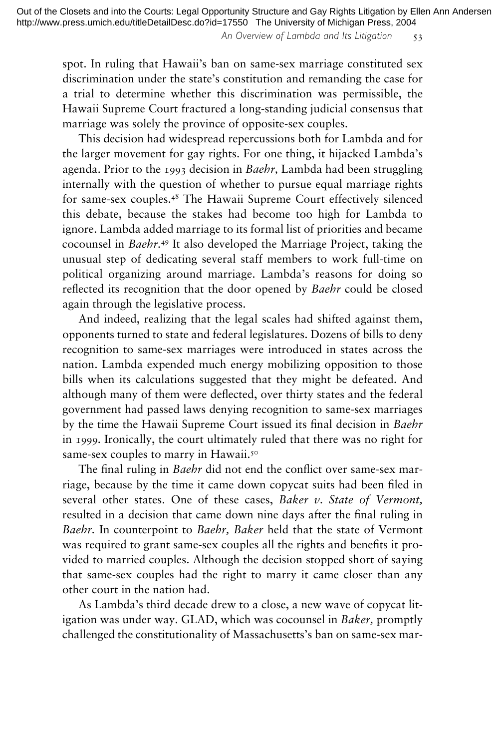*An Overview of Lambda and Its Litigation* 53

spot. In ruling that Hawaii's ban on same-sex marriage constituted sex discrimination under the state's constitution and remanding the case for a trial to determine whether this discrimination was permissible, the Hawaii Supreme Court fractured a long-standing judicial consensus that marriage was solely the province of opposite-sex couples.

This decision had widespread repercussions both for Lambda and for the larger movement for gay rights. For one thing, it hijacked Lambda's agenda. Prior to the 1993 decision in *Baehr,* Lambda had been struggling internally with the question of whether to pursue equal marriage rights for same-sex couples.48 The Hawaii Supreme Court effectively silenced this debate, because the stakes had become too high for Lambda to ignore. Lambda added marriage to its formal list of priorities and became cocounsel in *Baehr.*<sup>49</sup> It also developed the Marriage Project, taking the unusual step of dedicating several staff members to work full-time on political organizing around marriage. Lambda's reasons for doing so reflected its recognition that the door opened by *Baehr* could be closed again through the legislative process.

And indeed, realizing that the legal scales had shifted against them, opponents turned to state and federal legislatures. Dozens of bills to deny recognition to same-sex marriages were introduced in states across the nation. Lambda expended much energy mobilizing opposition to those bills when its calculations suggested that they might be defeated. And although many of them were deflected, over thirty states and the federal government had passed laws denying recognition to same-sex marriages by the time the Hawaii Supreme Court issued its final decision in *Baehr* in 1999. Ironically, the court ultimately ruled that there was no right for same-sex couples to marry in Hawaii.<sup>50</sup>

The final ruling in *Baehr* did not end the conflict over same-sex marriage, because by the time it came down copycat suits had been filed in several other states. One of these cases, *Baker v. State of Vermont,* resulted in a decision that came down nine days after the final ruling in *Baehr.* In counterpoint to *Baehr, Baker* held that the state of Vermont was required to grant same-sex couples all the rights and benefits it provided to married couples. Although the decision stopped short of saying that same-sex couples had the right to marry it came closer than any other court in the nation had.

As Lambda's third decade drew to a close, a new wave of copycat litigation was under way. GLAD, which was cocounsel in *Baker,* promptly challenged the constitutionality of Massachusetts's ban on same-sex mar-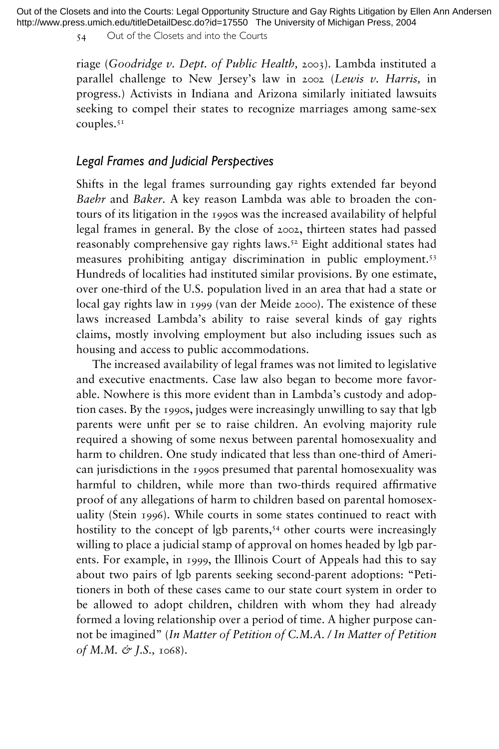54 Out of the Closets and into the Courts

riage (*Goodridge v. Dept. of Public Health,* 2003). Lambda instituted a parallel challenge to New Jersey's law in 2002 (*Lewis v. Harris,* in progress.) Activists in Indiana and Arizona similarly initiated lawsuits seeking to compel their states to recognize marriages among same-sex couples.<sup>51</sup>

#### *Legal Frames and Judicial Perspectives*

Shifts in the legal frames surrounding gay rights extended far beyond *Baehr* and *Baker.* A key reason Lambda was able to broaden the contours of its litigation in the 1990s was the increased availability of helpful legal frames in general. By the close of 2002, thirteen states had passed reasonably comprehensive gay rights laws.<sup>52</sup> Eight additional states had measures prohibiting antigay discrimination in public employment.53 Hundreds of localities had instituted similar provisions. By one estimate, over one-third of the U.S. population lived in an area that had a state or local gay rights law in 1999 (van der Meide 2000). The existence of these laws increased Lambda's ability to raise several kinds of gay rights claims, mostly involving employment but also including issues such as housing and access to public accommodations.

The increased availability of legal frames was not limited to legislative and executive enactments. Case law also began to become more favorable. Nowhere is this more evident than in Lambda's custody and adoption cases. By the 1990s, judges were increasingly unwilling to say that lgb parents were unfit per se to raise children. An evolving majority rule required a showing of some nexus between parental homosexuality and harm to children. One study indicated that less than one-third of American jurisdictions in the 1990s presumed that parental homosexuality was harmful to children, while more than two-thirds required affirmative proof of any allegations of harm to children based on parental homosexuality (Stein 1996). While courts in some states continued to react with hostility to the concept of lgb parents, $54$  other courts were increasingly willing to place a judicial stamp of approval on homes headed by lgb parents. For example, in 1999, the Illinois Court of Appeals had this to say about two pairs of lgb parents seeking second-parent adoptions: "Petitioners in both of these cases came to our state court system in order to be allowed to adopt children, children with whom they had already formed a loving relationship over a period of time. A higher purpose cannot be imagined" (*In Matter of Petition of C.M.A. / In Matter of Petition of M.M. & J.S.*, 1068).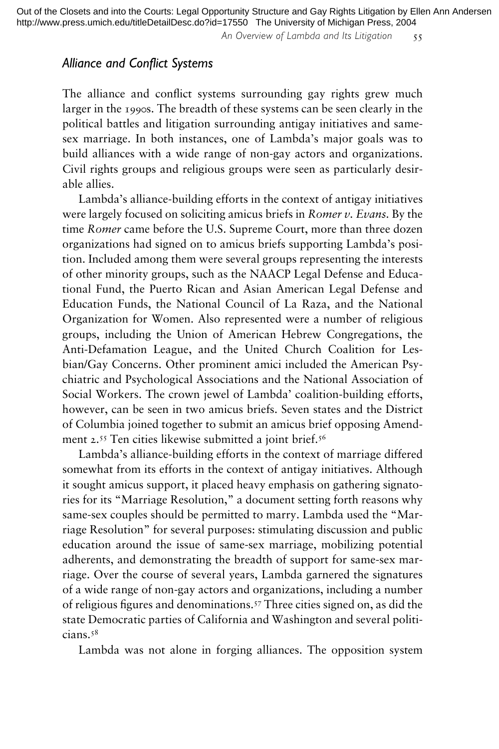*An Overview of Lambda and Its Litigation* 55

### *Alliance and Conflict Systems*

The alliance and conflict systems surrounding gay rights grew much larger in the 1990s. The breadth of these systems can be seen clearly in the political battles and litigation surrounding antigay initiatives and samesex marriage. In both instances, one of Lambda's major goals was to build alliances with a wide range of non-gay actors and organizations. Civil rights groups and religious groups were seen as particularly desirable allies.

Lambda's alliance-building efforts in the context of antigay initiatives were largely focused on soliciting amicus briefs in *Romer v. Evans.* By the time *Romer* came before the U.S. Supreme Court, more than three dozen organizations had signed on to amicus briefs supporting Lambda's position. Included among them were several groups representing the interests of other minority groups, such as the NAACP Legal Defense and Educational Fund, the Puerto Rican and Asian American Legal Defense and Education Funds, the National Council of La Raza, and the National Organization for Women. Also represented were a number of religious groups, including the Union of American Hebrew Congregations, the Anti-Defamation League, and the United Church Coalition for Lesbian/Gay Concerns. Other prominent amici included the American Psychiatric and Psychological Associations and the National Association of Social Workers. The crown jewel of Lambda' coalition-building efforts, however, can be seen in two amicus briefs. Seven states and the District of Columbia joined together to submit an amicus brief opposing Amendment 2.<sup>55</sup> Ten cities likewise submitted a joint brief.<sup>56</sup>

Lambda's alliance-building efforts in the context of marriage differed somewhat from its efforts in the context of antigay initiatives. Although it sought amicus support, it placed heavy emphasis on gathering signatories for its "Marriage Resolution," a document setting forth reasons why same-sex couples should be permitted to marry. Lambda used the "Marriage Resolution" for several purposes: stimulating discussion and public education around the issue of same-sex marriage, mobilizing potential adherents, and demonstrating the breadth of support for same-sex marriage. Over the course of several years, Lambda garnered the signatures of a wide range of non-gay actors and organizations, including a number of religious figures and denominations.<sup>57</sup> Three cities signed on, as did the state Democratic parties of California and Washington and several politicians.58

Lambda was not alone in forging alliances. The opposition system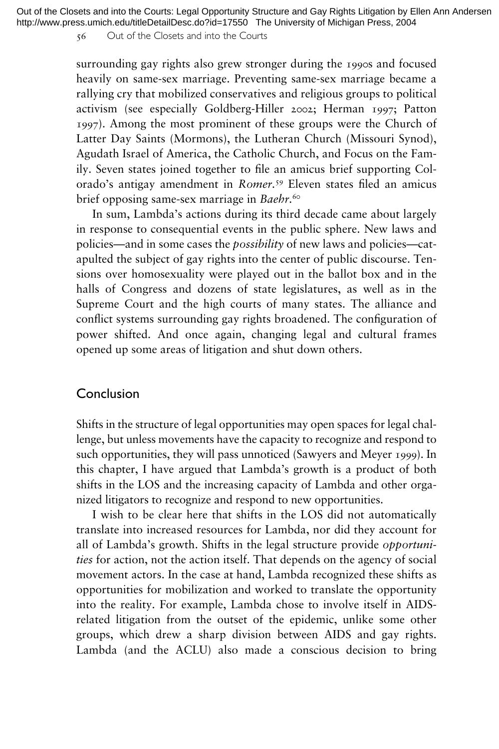56 Out of the Closets and into the Courts

surrounding gay rights also grew stronger during the 1990s and focused heavily on same-sex marriage. Preventing same-sex marriage became a rallying cry that mobilized conservatives and religious groups to political activism (see especially Goldberg-Hiller 2002; Herman 1997; Patton 1997). Among the most prominent of these groups were the Church of Latter Day Saints (Mormons), the Lutheran Church (Missouri Synod), Agudath Israel of America, the Catholic Church, and Focus on the Family. Seven states joined together to file an amicus brief supporting Colorado's antigay amendment in *Romer*.<sup>59</sup> Eleven states filed an amicus brief opposing same-sex marriage in *Baehr.*<sup>60</sup>

In sum, Lambda's actions during its third decade came about largely in response to consequential events in the public sphere. New laws and policies—and in some cases the *possibility* of new laws and policies—catapulted the subject of gay rights into the center of public discourse. Tensions over homosexuality were played out in the ballot box and in the halls of Congress and dozens of state legislatures, as well as in the Supreme Court and the high courts of many states. The alliance and conflict systems surrounding gay rights broadened. The configuration of power shifted. And once again, changing legal and cultural frames opened up some areas of litigation and shut down others.

#### Conclusion

Shifts in the structure of legal opportunities may open spaces for legal challenge, but unless movements have the capacity to recognize and respond to such opportunities, they will pass unnoticed (Sawyers and Meyer 1999). In this chapter, I have argued that Lambda's growth is a product of both shifts in the LOS and the increasing capacity of Lambda and other organized litigators to recognize and respond to new opportunities.

I wish to be clear here that shifts in the LOS did not automatically translate into increased resources for Lambda, nor did they account for all of Lambda's growth. Shifts in the legal structure provide *opportunities* for action, not the action itself. That depends on the agency of social movement actors. In the case at hand, Lambda recognized these shifts as opportunities for mobilization and worked to translate the opportunity into the reality. For example, Lambda chose to involve itself in AIDSrelated litigation from the outset of the epidemic, unlike some other groups, which drew a sharp division between AIDS and gay rights. Lambda (and the ACLU) also made a conscious decision to bring